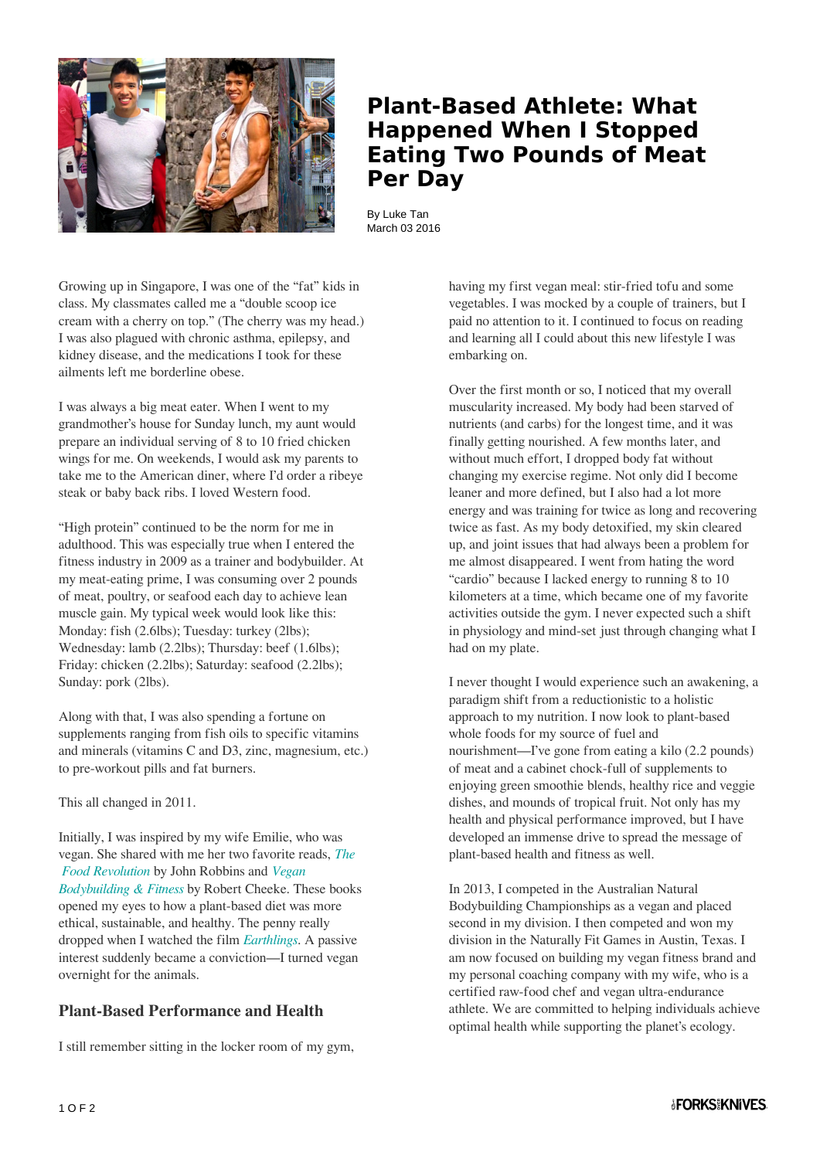

## **Plant-Based Athlete: What Happened When I Stopped Eating Two Pounds of Meat Per Day**

By Luke Tan March 03 2016

Growing up in Singapore, I was one of the "fat" kids in class. My classmates called me a "double scoop ice cream with a cherry on top." (The cherry was my head.) I was also plagued with chronic asthma, epilepsy, and kidney disease, and the medications I took for these ailments left me borderline obese.

I was always a big meat eater. When I went to my grandmother's house for Sunday lunch, my aunt would prepare an individual serving of 8 to 10 fried chicken wings for me. On weekends, I would ask my parents to take me to the American diner, where I'd order a ribeye steak or baby back ribs. I loved Western food.

"High protein" continued to be the norm for me in adulthood. This was especially true when I entered the fitness industry in 2009 as a trainer and bodybuilder. At my meat-eating prime, I was consuming over 2 pounds of meat, poultry, or seafood each day to achieve lean muscle gain. My typical week would look like this: Monday: fish (2.6lbs); Tuesday: turkey (2lbs); Wednesday: lamb (2.2lbs); Thursday: beef (1.6lbs); Friday: chicken (2.2lbs); Saturday: seafood (2.2lbs); Sunday: pork (2lbs).

Along with that, I was also spending a fortune on supplements ranging from fish oils to specific vitamins and minerals (vitamins C and D3, zinc, magnesium, etc.) to pre-workout pills and fat burners.

This all changed in 2011.

Initially, I was inspired by my wife Emilie, who was vegan. She shared with me her two favorite reads, *[The](http://foodrevolution.org/blog/food-revolution-diet-can-help-save-life-world/)  [Food Revolution](http://foodrevolution.org/blog/food-revolution-diet-can-help-save-life-world/)* by John Robbins and *[Vegan](http://www.amazon.com/Vegan-Bodybuilding-Fitness-Robert-Cheeke/dp/0984391606) [Bodybuilding & Fitness](http://www.amazon.com/Vegan-Bodybuilding-Fitness-Robert-Cheeke/dp/0984391606)* by Robert Cheeke. These books opened my eyes to how a plant-based diet was more ethical, sustainable, and healthy. The penny really dropped when I watched the film *[Earthlings](http://www.nationearth.com/earthlings-1/)*. A passive interest suddenly became a conviction—I turned vegan overnight for the animals.

## **Plant-Based Performance and Health**

I still remember sitting in the locker room of my gym,

having my first vegan meal: stir-fried tofu and some vegetables. I was mocked by a couple of trainers, but I paid no attention to it. I continued to focus on reading and learning all I could about this new lifestyle I was embarking on.

Over the first month or so, I noticed that my overall muscularity increased. My body had been starved of nutrients (and carbs) for the longest time, and it was finally getting nourished. A few months later, and without much effort, I dropped body fat without changing my exercise regime. Not only did I become leaner and more defined, but I also had a lot more energy and was training for twice as long and recovering twice as fast. As my body detoxified, my skin cleared up, and joint issues that had always been a problem for me almost disappeared. I went from hating the word "cardio" because I lacked energy to running 8 to 10 kilometers at a time, which became one of my favorite activities outside the gym. I never expected such a shift in physiology and mind-set just through changing what I had on my plate.

I never thought I would experience such an awakening, a paradigm shift from a reductionistic to a holistic approach to my nutrition. I now look to plant-based whole foods for my source of fuel and nourishment—I've gone from eating a kilo (2.2 pounds) of meat and a cabinet chock-full of supplements to enjoying green smoothie blends, healthy rice and veggie dishes, and mounds of tropical fruit. Not only has my health and physical performance improved, but I have developed an immense drive to spread the message of plant-based health and fitness as well.

In 2013, I competed in the Australian Natural Bodybuilding Championships as a vegan and placed second in my division. I then competed and won my division in the Naturally Fit Games in Austin, Texas. I am now focused on building my vegan fitness brand and my personal coaching company with my wife, who is a certified raw-food chef and vegan ultra-endurance athlete. We are committed to helping individuals achieve optimal health while supporting the planet's ecology.